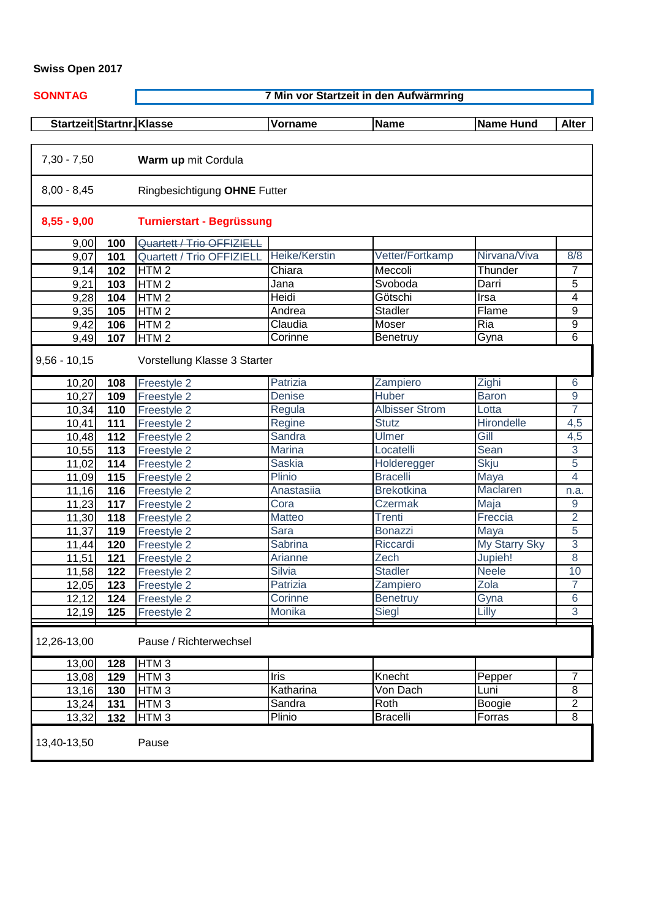## **Swiss Open 2017**

|--|

 $\overline{\phantom{a}}$ 

**7 Min vor Startzeit in den Aufwärmring**

| Startzeit Startnr. Klasse |     |                                  | <b>Vorname</b> | <b>Name</b>           | <b>Name Hund</b>     | <b>Alter</b>     |  |  |
|---------------------------|-----|----------------------------------|----------------|-----------------------|----------------------|------------------|--|--|
| $7,30 - 7,50$             |     | Warm up mit Cordula              |                |                       |                      |                  |  |  |
| $8,00 - 8,45$             |     | Ringbesichtigung OHNE Futter     |                |                       |                      |                  |  |  |
| $8,55 - 9,00$             |     | <b>Turnierstart - Begrüssung</b> |                |                       |                      |                  |  |  |
| 9,00                      | 100 | Quartett / Trio OFFIZIELL        |                |                       |                      |                  |  |  |
| 9,07                      | 101 | Quartett / Trio OFFIZIELL        | Heike/Kerstin  | Vetter/Fortkamp       | Nirvana/Viva         | 8/8              |  |  |
| 9,14                      | 102 | HTM <sub>2</sub>                 | Chiara         | Meccoli               | Thunder              | 7                |  |  |
| 9,21                      | 103 | HTM <sub>2</sub>                 | Jana           | Svoboda               | Darri                | 5                |  |  |
| 9,28                      | 104 | HTM <sub>2</sub>                 | Heidi          | Götschi               | Irsa                 | 4                |  |  |
| 9,35                      | 105 | HTM <sub>2</sub>                 | Andrea         | <b>Stadler</b>        | Flame                | 9                |  |  |
| 9,42                      | 106 | HTM <sub>2</sub>                 | Claudia        | Moser                 | Ria                  | 9                |  |  |
| 9,49                      | 107 | HTM <sub>2</sub>                 | Corinne        | Benetruy              | Gyna                 | $\overline{6}$   |  |  |
| $9,56 - 10,15$            |     | Vorstellung Klasse 3 Starter     |                |                       |                      |                  |  |  |
| 10,20                     | 108 | Freestyle 2                      | Patrizia       | Zampiero              | Zighi                | 6                |  |  |
| 10,27                     | 109 | Freestyle 2                      | <b>Denise</b>  | Huber                 | <b>Baron</b>         | $\boldsymbol{9}$ |  |  |
| 10,34                     | 110 | Freestyle 2                      | Regula         | <b>Albisser Strom</b> | Lotta                | $\overline{7}$   |  |  |
| 10,41                     | 111 | Freestyle 2                      | Regine         | <b>Stutz</b>          | <b>Hirondelle</b>    | 4,5              |  |  |
| 10,48                     | 112 | Freestyle 2                      | Sandra         | <b>Ulmer</b>          | Gill                 | 4,5              |  |  |
| 10,55                     | 113 | Freestyle 2                      | <b>Marina</b>  | Locatelli             | Sean                 | $\overline{3}$   |  |  |
| 11,02                     | 114 | Freestyle 2                      | <b>Saskia</b>  | Holderegger           | <b>Skju</b>          | 5                |  |  |
| 11,09                     | 115 | Freestyle 2                      | Plinio         | <b>Bracelli</b>       | Maya                 | $\overline{4}$   |  |  |
| 11,16                     | 116 | Freestyle 2                      | Anastasiia     | <b>Brekotkina</b>     | Maclaren             | n.a.             |  |  |
| 11,23                     | 117 | Freestyle 2                      | Cora           | <b>Czermak</b>        | Maja                 | 9                |  |  |
| 11,30                     | 118 | Freestyle 2                      | Matteo         | <b>Trenti</b>         | Freccia              | $\overline{2}$   |  |  |
| 11,37                     | 119 | Freestyle 2                      | Sara           | <b>Bonazzi</b>        | Maya                 | 5                |  |  |
| 11,44                     | 120 | Freestyle 2                      | Sabrina        | Riccardi              | <b>My Starry Sky</b> | 3                |  |  |
| 11,51                     | 121 | Freestyle 2                      | Arianne        | Zech                  | Jupieh!              | 8                |  |  |
| 11,58                     | 122 | Freestyle 2                      | Silvia         | <b>Stadler</b>        | <b>Neele</b>         | 10               |  |  |
| 12,05                     | 123 | Freestyle 2                      | Patrizia       | Zampiero              | Zola                 | $\overline{7}$   |  |  |
| 12,12                     | 124 | <b>Freestyle 2</b>               | Corinne        | <b>Benetruy</b>       | Gyna                 | 6                |  |  |
| 12,19                     | 125 | Freestyle 2                      | Monika         | Siegl                 | Lilly                | $\overline{3}$   |  |  |
| 12,26-13,00               |     | Pause / Richterwechsel           |                |                       |                      |                  |  |  |
| 13,00                     | 128 | HTM <sub>3</sub>                 |                |                       |                      |                  |  |  |
| 13,08                     | 129 | HTM <sub>3</sub>                 | Iris           | Knecht                | Pepper               | 7                |  |  |
| 13,16                     | 130 | HTM <sub>3</sub>                 | Katharina      | Von Dach              | Luni                 | 8                |  |  |
| 13,24                     | 131 | HTM <sub>3</sub>                 | Sandra         | <b>Roth</b>           | Boogie               | $\overline{2}$   |  |  |
| 13,32                     | 132 | HTM <sub>3</sub>                 | Plinio         | <b>Bracelli</b>       | Forras               | $\overline{8}$   |  |  |
| 13,40-13,50               |     | Pause                            |                |                       |                      |                  |  |  |